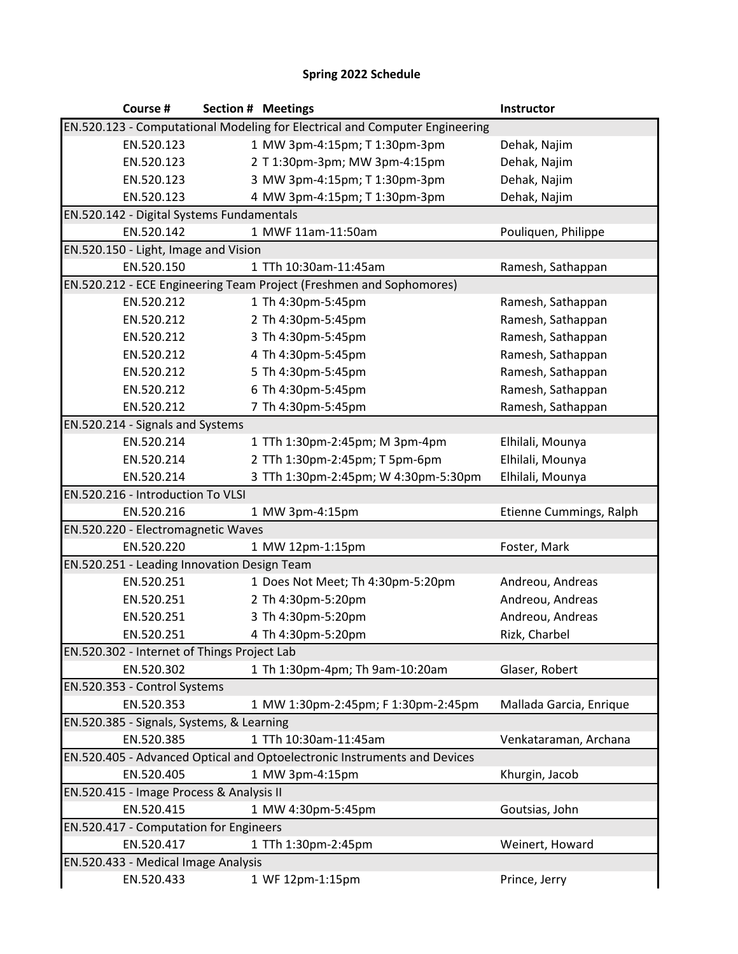## **Spring 2022 Schedule**

| Course #                                                                    |  | <b>Section # Meetings</b>                                                | Instructor              |
|-----------------------------------------------------------------------------|--|--------------------------------------------------------------------------|-------------------------|
| EN.520.123 - Computational Modeling for Electrical and Computer Engineering |  |                                                                          |                         |
| EN.520.123                                                                  |  | 1 MW 3pm-4:15pm; T 1:30pm-3pm                                            | Dehak, Najim            |
| EN.520.123                                                                  |  | 2 T 1:30pm-3pm; MW 3pm-4:15pm                                            | Dehak, Najim            |
| EN.520.123                                                                  |  | 3 MW 3pm-4:15pm; T 1:30pm-3pm                                            | Dehak, Najim            |
| EN.520.123                                                                  |  | 4 MW 3pm-4:15pm; T 1:30pm-3pm                                            | Dehak, Najim            |
| EN.520.142 - Digital Systems Fundamentals                                   |  |                                                                          |                         |
| EN.520.142                                                                  |  | 1 MWF 11am-11:50am                                                       | Pouliquen, Philippe     |
| EN.520.150 - Light, Image and Vision                                        |  |                                                                          |                         |
| EN.520.150                                                                  |  | 1 TTh 10:30am-11:45am                                                    | Ramesh, Sathappan       |
|                                                                             |  | EN.520.212 - ECE Engineering Team Project (Freshmen and Sophomores)      |                         |
| EN.520.212                                                                  |  | 1 Th 4:30pm-5:45pm                                                       | Ramesh, Sathappan       |
| EN.520.212                                                                  |  | 2 Th 4:30pm-5:45pm                                                       | Ramesh, Sathappan       |
| EN.520.212                                                                  |  | 3 Th 4:30pm-5:45pm                                                       | Ramesh, Sathappan       |
| EN.520.212                                                                  |  | 4 Th 4:30pm-5:45pm                                                       | Ramesh, Sathappan       |
| EN.520.212                                                                  |  | 5 Th 4:30pm-5:45pm                                                       | Ramesh, Sathappan       |
| EN.520.212                                                                  |  | 6 Th 4:30pm-5:45pm                                                       | Ramesh, Sathappan       |
| EN.520.212                                                                  |  | 7 Th 4:30pm-5:45pm                                                       | Ramesh, Sathappan       |
| EN.520.214 - Signals and Systems                                            |  |                                                                          |                         |
| EN.520.214                                                                  |  | 1 TTh 1:30pm-2:45pm; M 3pm-4pm                                           | Elhilali, Mounya        |
| EN.520.214                                                                  |  | 2 TTh 1:30pm-2:45pm; T 5pm-6pm                                           | Elhilali, Mounya        |
| EN.520.214                                                                  |  | 3 TTh 1:30pm-2:45pm; W 4:30pm-5:30pm                                     | Elhilali, Mounya        |
| EN.520.216 - Introduction To VLSI                                           |  |                                                                          |                         |
| EN.520.216                                                                  |  | 1 MW 3pm-4:15pm                                                          | Etienne Cummings, Ralph |
| EN.520.220 - Electromagnetic Waves                                          |  |                                                                          |                         |
| EN.520.220                                                                  |  | 1 MW 12pm-1:15pm                                                         | Foster, Mark            |
| EN.520.251 - Leading Innovation Design Team                                 |  |                                                                          |                         |
| EN.520.251                                                                  |  | 1 Does Not Meet; Th 4:30pm-5:20pm                                        | Andreou, Andreas        |
| EN.520.251                                                                  |  | 2 Th 4:30pm-5:20pm                                                       | Andreou, Andreas        |
| EN.520.251                                                                  |  | 3 Th 4:30pm-5:20pm                                                       | Andreou, Andreas        |
| EN.520.251                                                                  |  | 4 Th 4:30pm-5:20pm                                                       | Rizk, Charbel           |
| EN.520.302 - Internet of Things Project Lab                                 |  |                                                                          |                         |
| EN.520.302                                                                  |  | 1 Th 1:30pm-4pm; Th 9am-10:20am                                          | Glaser, Robert          |
| EN.520.353 - Control Systems                                                |  |                                                                          |                         |
| EN.520.353                                                                  |  | 1 MW 1:30pm-2:45pm; F 1:30pm-2:45pm                                      | Mallada Garcia, Enrique |
| EN.520.385 - Signals, Systems, & Learning                                   |  |                                                                          |                         |
| EN.520.385                                                                  |  | 1 TTh 10:30am-11:45am                                                    | Venkataraman, Archana   |
|                                                                             |  | EN.520.405 - Advanced Optical and Optoelectronic Instruments and Devices |                         |
| EN.520.405                                                                  |  | 1 MW 3pm-4:15pm                                                          | Khurgin, Jacob          |
| EN.520.415 - Image Process & Analysis II                                    |  |                                                                          |                         |
| EN.520.415                                                                  |  | 1 MW 4:30pm-5:45pm                                                       | Goutsias, John          |
| EN.520.417 - Computation for Engineers                                      |  |                                                                          |                         |
| EN.520.417                                                                  |  | 1 TTh 1:30pm-2:45pm                                                      | Weinert, Howard         |
| EN.520.433 - Medical Image Analysis                                         |  |                                                                          |                         |
| EN.520.433                                                                  |  | 1 WF 12pm-1:15pm                                                         | Prince, Jerry           |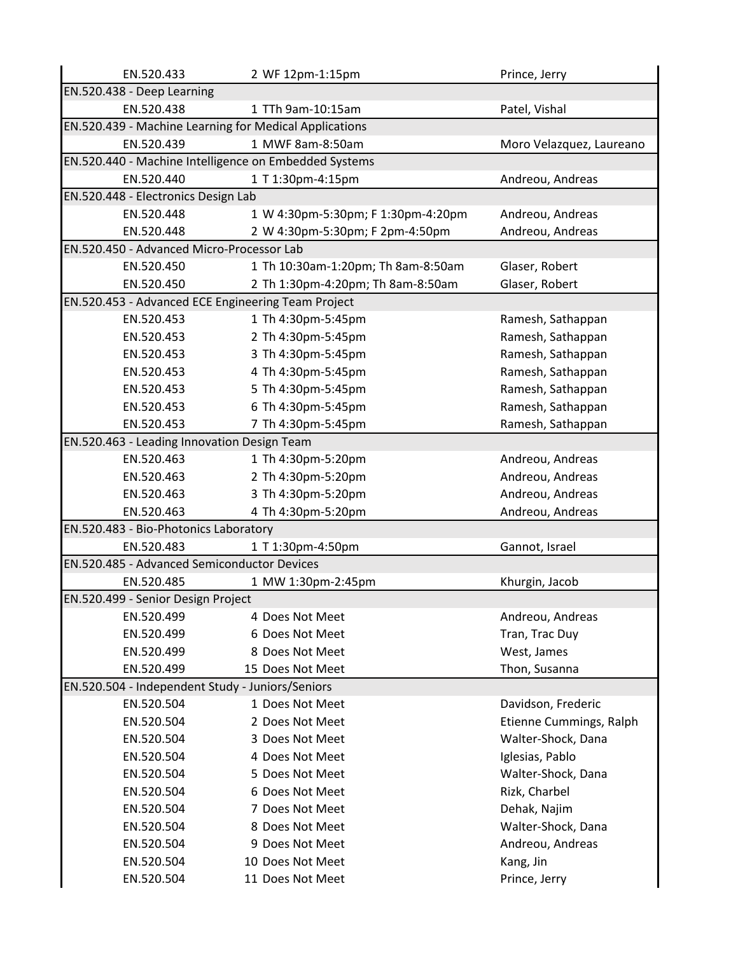| EN.520.433                                       | 2 WF 12pm-1:15pm                                       | Prince, Jerry            |  |
|--------------------------------------------------|--------------------------------------------------------|--------------------------|--|
| EN.520.438 - Deep Learning                       |                                                        |                          |  |
| EN.520.438                                       | 1 TTh 9am-10:15am                                      | Patel, Vishal            |  |
|                                                  | EN.520.439 - Machine Learning for Medical Applications |                          |  |
| EN.520.439                                       | 1 MWF 8am-8:50am                                       | Moro Velazquez, Laureano |  |
|                                                  | EN.520.440 - Machine Intelligence on Embedded Systems  |                          |  |
| EN.520.440                                       | 1 T 1:30pm-4:15pm                                      | Andreou, Andreas         |  |
| EN.520.448 - Electronics Design Lab              |                                                        |                          |  |
| EN.520.448                                       | 1 W 4:30pm-5:30pm; F 1:30pm-4:20pm                     | Andreou, Andreas         |  |
| EN.520.448                                       | 2 W 4:30pm-5:30pm; F 2pm-4:50pm                        | Andreou, Andreas         |  |
| EN.520.450 - Advanced Micro-Processor Lab        |                                                        |                          |  |
| EN.520.450                                       | 1 Th 10:30am-1:20pm; Th 8am-8:50am                     | Glaser, Robert           |  |
| EN.520.450                                       | 2 Th 1:30pm-4:20pm; Th 8am-8:50am                      | Glaser, Robert           |  |
|                                                  | EN.520.453 - Advanced ECE Engineering Team Project     |                          |  |
| EN.520.453                                       | 1 Th 4:30pm-5:45pm                                     | Ramesh, Sathappan        |  |
| EN.520.453                                       | 2 Th 4:30pm-5:45pm                                     | Ramesh, Sathappan        |  |
| EN.520.453                                       | 3 Th 4:30pm-5:45pm                                     | Ramesh, Sathappan        |  |
| EN.520.453                                       | 4 Th 4:30pm-5:45pm                                     | Ramesh, Sathappan        |  |
| EN.520.453                                       | 5 Th 4:30pm-5:45pm                                     | Ramesh, Sathappan        |  |
| EN.520.453                                       | 6 Th 4:30pm-5:45pm                                     | Ramesh, Sathappan        |  |
| EN.520.453                                       | 7 Th 4:30pm-5:45pm                                     | Ramesh, Sathappan        |  |
| EN.520.463 - Leading Innovation Design Team      |                                                        |                          |  |
| EN.520.463                                       | 1 Th 4:30pm-5:20pm                                     | Andreou, Andreas         |  |
| EN.520.463                                       | 2 Th 4:30pm-5:20pm                                     | Andreou, Andreas         |  |
| EN.520.463                                       | 3 Th 4:30pm-5:20pm                                     | Andreou, Andreas         |  |
| EN.520.463                                       | 4 Th 4:30pm-5:20pm                                     | Andreou, Andreas         |  |
| EN.520.483 - Bio-Photonics Laboratory            |                                                        |                          |  |
| EN.520.483                                       | 1 T 1:30pm-4:50pm                                      | Gannot, Israel           |  |
| EN.520.485 - Advanced Semiconductor Devices      |                                                        |                          |  |
| EN.520.485                                       | 1 MW 1:30pm-2:45pm                                     | Khurgin, Jacob           |  |
| EN.520.499 - Senior Design Project               |                                                        |                          |  |
| EN.520.499                                       | 4 Does Not Meet                                        | Andreou, Andreas         |  |
| EN.520.499                                       | 6 Does Not Meet                                        | Tran, Trac Duy           |  |
| EN.520.499                                       | 8 Does Not Meet                                        | West, James              |  |
| EN.520.499                                       | 15 Does Not Meet                                       | Thon, Susanna            |  |
| EN.520.504 - Independent Study - Juniors/Seniors |                                                        |                          |  |
| EN.520.504                                       | 1 Does Not Meet                                        | Davidson, Frederic       |  |
| EN.520.504                                       | 2 Does Not Meet                                        | Etienne Cummings, Ralph  |  |
| EN.520.504                                       | 3 Does Not Meet                                        | Walter-Shock, Dana       |  |
| EN.520.504                                       | 4 Does Not Meet                                        | Iglesias, Pablo          |  |
| EN.520.504                                       | 5 Does Not Meet                                        | Walter-Shock, Dana       |  |
| EN.520.504                                       | 6 Does Not Meet                                        | Rizk, Charbel            |  |
| EN.520.504                                       | 7 Does Not Meet                                        | Dehak, Najim             |  |
| EN.520.504                                       | 8 Does Not Meet                                        | Walter-Shock, Dana       |  |
| EN.520.504                                       | 9 Does Not Meet                                        | Andreou, Andreas         |  |
| EN.520.504                                       | 10 Does Not Meet                                       | Kang, Jin                |  |
| EN.520.504                                       | 11 Does Not Meet                                       | Prince, Jerry            |  |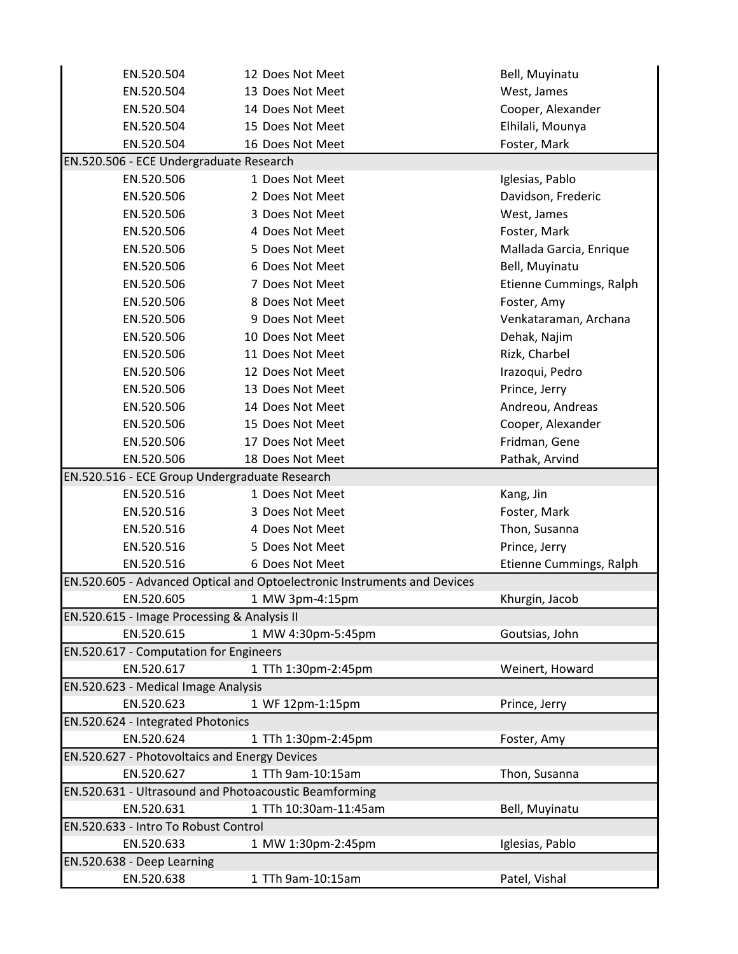| EN.520.504                                    | 12 Does Not Meet                                                         | Bell, Muyinatu          |  |
|-----------------------------------------------|--------------------------------------------------------------------------|-------------------------|--|
| EN.520.504                                    | 13 Does Not Meet                                                         | West, James             |  |
| EN.520.504                                    | 14 Does Not Meet                                                         | Cooper, Alexander       |  |
| EN.520.504                                    | 15 Does Not Meet                                                         | Elhilali, Mounya        |  |
| EN.520.504                                    | 16 Does Not Meet                                                         | Foster, Mark            |  |
| EN.520.506 - ECE Undergraduate Research       |                                                                          |                         |  |
| EN.520.506                                    | 1 Does Not Meet                                                          | Iglesias, Pablo         |  |
| EN.520.506                                    | 2 Does Not Meet                                                          | Davidson, Frederic      |  |
| EN.520.506                                    | 3 Does Not Meet                                                          | West, James             |  |
| EN.520.506                                    | 4 Does Not Meet                                                          | Foster, Mark            |  |
| EN.520.506                                    | 5 Does Not Meet                                                          | Mallada Garcia, Enrique |  |
| EN.520.506                                    | 6 Does Not Meet                                                          | Bell, Muyinatu          |  |
| EN.520.506                                    | 7 Does Not Meet                                                          | Etienne Cummings, Ralph |  |
| EN.520.506                                    | 8 Does Not Meet                                                          | Foster, Amy             |  |
| EN.520.506                                    | 9 Does Not Meet                                                          | Venkataraman, Archana   |  |
| EN.520.506                                    | 10 Does Not Meet                                                         | Dehak, Najim            |  |
| EN.520.506                                    | 11 Does Not Meet                                                         | Rizk, Charbel           |  |
| EN.520.506                                    | 12 Does Not Meet                                                         | Irazoqui, Pedro         |  |
| EN.520.506                                    | 13 Does Not Meet                                                         | Prince, Jerry           |  |
| EN.520.506                                    | 14 Does Not Meet                                                         | Andreou, Andreas        |  |
| EN.520.506                                    | 15 Does Not Meet                                                         | Cooper, Alexander       |  |
| EN.520.506                                    | 17 Does Not Meet                                                         | Fridman, Gene           |  |
| EN.520.506                                    | 18 Does Not Meet                                                         | Pathak, Arvind          |  |
| EN.520.516 - ECE Group Undergraduate Research |                                                                          |                         |  |
| EN.520.516                                    | 1 Does Not Meet                                                          | Kang, Jin               |  |
| EN.520.516                                    | 3 Does Not Meet                                                          | Foster, Mark            |  |
| EN.520.516                                    | 4 Does Not Meet                                                          | Thon, Susanna           |  |
| EN.520.516                                    | 5 Does Not Meet                                                          | Prince, Jerry           |  |
| EN.520.516                                    | 6 Does Not Meet                                                          | Etienne Cummings, Ralph |  |
|                                               | EN.520.605 - Advanced Optical and Optoelectronic Instruments and Devices |                         |  |
| EN.520.605                                    | 1 MW 3pm-4:15pm                                                          | Khurgin, Jacob          |  |
| EN.520.615 - Image Processing & Analysis II   |                                                                          |                         |  |
| EN.520.615                                    | 1 MW 4:30pm-5:45pm                                                       | Goutsias, John          |  |
| EN.520.617 - Computation for Engineers        |                                                                          |                         |  |
| EN.520.617                                    | 1 TTh 1:30pm-2:45pm                                                      | Weinert, Howard         |  |
| EN.520.623 - Medical Image Analysis           |                                                                          |                         |  |
| EN.520.623                                    | 1 WF 12pm-1:15pm                                                         | Prince, Jerry           |  |
| EN.520.624 - Integrated Photonics             |                                                                          |                         |  |
| EN.520.624                                    | 1 TTh 1:30pm-2:45pm                                                      | Foster, Amy             |  |
| EN.520.627 - Photovoltaics and Energy Devices |                                                                          |                         |  |
| EN.520.627                                    | 1 TTh 9am-10:15am                                                        | Thon, Susanna           |  |
|                                               | EN.520.631 - Ultrasound and Photoacoustic Beamforming                    |                         |  |
| EN.520.631                                    | 1 TTh 10:30am-11:45am                                                    | Bell, Muyinatu          |  |
| EN.520.633 - Intro To Robust Control          |                                                                          |                         |  |
| EN.520.633                                    | 1 MW 1:30pm-2:45pm                                                       | Iglesias, Pablo         |  |
| EN.520.638 - Deep Learning                    |                                                                          |                         |  |
| EN.520.638                                    | 1 TTh 9am-10:15am                                                        | Patel, Vishal           |  |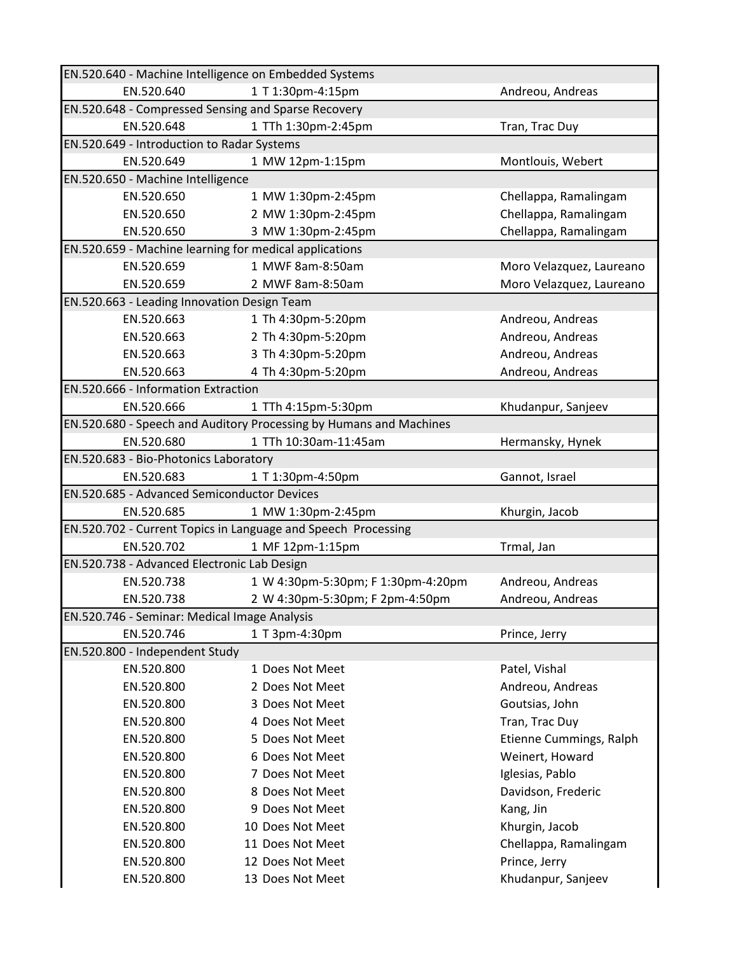| EN.520.640 - Machine Intelligence on Embedded Systems |                                                                    |                          |  |
|-------------------------------------------------------|--------------------------------------------------------------------|--------------------------|--|
| EN.520.640                                            | 1 T 1:30pm-4:15pm                                                  | Andreou, Andreas         |  |
|                                                       | EN.520.648 - Compressed Sensing and Sparse Recovery                |                          |  |
| EN.520.648                                            | 1 TTh 1:30pm-2:45pm                                                | Tran, Trac Duy           |  |
| EN.520.649 - Introduction to Radar Systems            |                                                                    |                          |  |
| EN.520.649                                            | 1 MW 12pm-1:15pm                                                   | Montlouis, Webert        |  |
| EN.520.650 - Machine Intelligence                     |                                                                    |                          |  |
| EN.520.650                                            | 1 MW 1:30pm-2:45pm                                                 | Chellappa, Ramalingam    |  |
| EN.520.650                                            | 2 MW 1:30pm-2:45pm                                                 | Chellappa, Ramalingam    |  |
| EN.520.650                                            | 3 MW 1:30pm-2:45pm                                                 | Chellappa, Ramalingam    |  |
|                                                       | EN.520.659 - Machine learning for medical applications             |                          |  |
| EN.520.659                                            | 1 MWF 8am-8:50am                                                   | Moro Velazquez, Laureano |  |
| EN.520.659                                            | 2 MWF 8am-8:50am                                                   | Moro Velazquez, Laureano |  |
| EN.520.663 - Leading Innovation Design Team           |                                                                    |                          |  |
| EN.520.663                                            | 1 Th 4:30pm-5:20pm                                                 | Andreou, Andreas         |  |
| EN.520.663                                            | 2 Th 4:30pm-5:20pm                                                 | Andreou, Andreas         |  |
| EN.520.663                                            | 3 Th 4:30pm-5:20pm                                                 | Andreou, Andreas         |  |
| EN.520.663                                            | 4 Th 4:30pm-5:20pm                                                 | Andreou, Andreas         |  |
| EN.520.666 - Information Extraction                   |                                                                    |                          |  |
| EN.520.666                                            | 1 TTh 4:15pm-5:30pm                                                | Khudanpur, Sanjeev       |  |
|                                                       | EN.520.680 - Speech and Auditory Processing by Humans and Machines |                          |  |
| EN.520.680                                            | 1 TTh 10:30am-11:45am                                              | Hermansky, Hynek         |  |
| EN.520.683 - Bio-Photonics Laboratory                 |                                                                    |                          |  |
| EN.520.683                                            | 1 T 1:30pm-4:50pm                                                  | Gannot, Israel           |  |
| EN.520.685 - Advanced Semiconductor Devices           |                                                                    |                          |  |
| EN.520.685                                            | 1 MW 1:30pm-2:45pm                                                 | Khurgin, Jacob           |  |
|                                                       | EN.520.702 - Current Topics in Language and Speech Processing      |                          |  |
| EN.520.702                                            | 1 MF 12pm-1:15pm                                                   | Trmal, Jan               |  |
| EN.520.738 - Advanced Electronic Lab Design           |                                                                    |                          |  |
| EN.520.738                                            | 1 W 4:30pm-5:30pm; F 1:30pm-4:20pm                                 | Andreou, Andreas         |  |
| EN.520.738                                            | 2 W 4:30pm-5:30pm; F 2pm-4:50pm                                    | Andreou, Andreas         |  |
| EN.520.746 - Seminar: Medical Image Analysis          |                                                                    |                          |  |
| EN.520.746                                            | 1 T 3pm-4:30pm                                                     | Prince, Jerry            |  |
| EN.520.800 - Independent Study                        |                                                                    |                          |  |
| EN.520.800                                            | 1 Does Not Meet                                                    | Patel, Vishal            |  |
| EN.520.800                                            | 2 Does Not Meet                                                    | Andreou, Andreas         |  |
| EN.520.800                                            | 3 Does Not Meet                                                    | Goutsias, John           |  |
| EN.520.800                                            | 4 Does Not Meet                                                    | Tran, Trac Duy           |  |
| EN.520.800                                            | 5 Does Not Meet                                                    | Etienne Cummings, Ralph  |  |
| EN.520.800                                            | 6 Does Not Meet                                                    | Weinert, Howard          |  |
| EN.520.800                                            | 7 Does Not Meet                                                    | Iglesias, Pablo          |  |
| EN.520.800                                            | 8 Does Not Meet                                                    | Davidson, Frederic       |  |
| EN.520.800                                            | 9 Does Not Meet                                                    | Kang, Jin                |  |
| EN.520.800                                            | 10 Does Not Meet                                                   | Khurgin, Jacob           |  |
| EN.520.800                                            | 11 Does Not Meet                                                   | Chellappa, Ramalingam    |  |
| EN.520.800                                            | 12 Does Not Meet                                                   | Prince, Jerry            |  |
| EN.520.800                                            | 13 Does Not Meet                                                   | Khudanpur, Sanjeev       |  |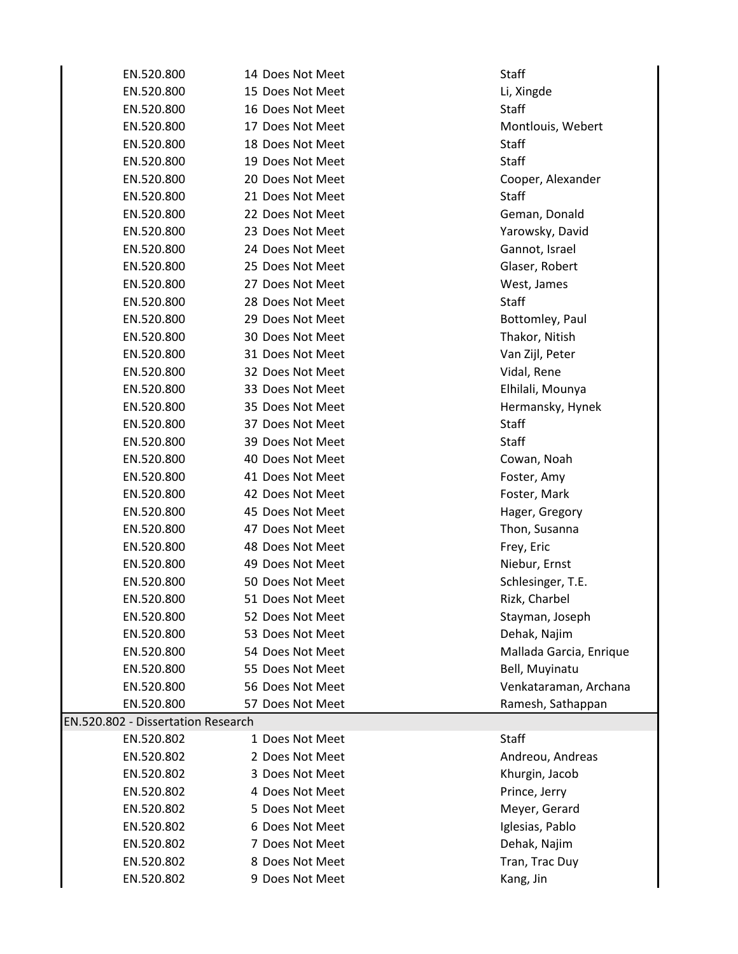| EN.520.800                         | 14 Does Not Meet | <b>Staff</b>            |
|------------------------------------|------------------|-------------------------|
| EN.520.800                         | 15 Does Not Meet | Li, Xingde              |
| EN.520.800                         | 16 Does Not Meet | <b>Staff</b>            |
| EN.520.800                         | 17 Does Not Meet | Montlouis, Webert       |
| EN.520.800                         | 18 Does Not Meet | <b>Staff</b>            |
| EN.520.800                         | 19 Does Not Meet | <b>Staff</b>            |
| EN.520.800                         | 20 Does Not Meet | Cooper, Alexander       |
| EN.520.800                         | 21 Does Not Meet | <b>Staff</b>            |
| EN.520.800                         | 22 Does Not Meet | Geman, Donald           |
| EN.520.800                         | 23 Does Not Meet | Yarowsky, David         |
| EN.520.800                         | 24 Does Not Meet | Gannot, Israel          |
| EN.520.800                         | 25 Does Not Meet | Glaser, Robert          |
| EN.520.800                         | 27 Does Not Meet | West, James             |
| EN.520.800                         | 28 Does Not Meet | <b>Staff</b>            |
| EN.520.800                         | 29 Does Not Meet | Bottomley, Paul         |
| EN.520.800                         | 30 Does Not Meet | Thakor, Nitish          |
| EN.520.800                         | 31 Does Not Meet | Van Zijl, Peter         |
| EN.520.800                         | 32 Does Not Meet | Vidal, Rene             |
| EN.520.800                         | 33 Does Not Meet | Elhilali, Mounya        |
| EN.520.800                         | 35 Does Not Meet | Hermansky, Hynek        |
| EN.520.800                         | 37 Does Not Meet | <b>Staff</b>            |
| EN.520.800                         | 39 Does Not Meet | <b>Staff</b>            |
| EN.520.800                         | 40 Does Not Meet | Cowan, Noah             |
| EN.520.800                         | 41 Does Not Meet | Foster, Amy             |
| EN.520.800                         | 42 Does Not Meet | Foster, Mark            |
| EN.520.800                         | 45 Does Not Meet | Hager, Gregory          |
| EN.520.800                         | 47 Does Not Meet | Thon, Susanna           |
| EN.520.800                         | 48 Does Not Meet | Frey, Eric              |
| EN.520.800                         | 49 Does Not Meet | Niebur, Ernst           |
| EN.520.800                         | 50 Does Not Meet | Schlesinger, T.E.       |
| EN.520.800                         | 51 Does Not Meet | Rizk, Charbel           |
| EN.520.800                         | 52 Does Not Meet | Stayman, Joseph         |
| EN.520.800                         | 53 Does Not Meet | Dehak, Najim            |
| EN.520.800                         | 54 Does Not Meet | Mallada Garcia, Enrique |
| EN.520.800                         | 55 Does Not Meet | Bell, Muyinatu          |
| EN.520.800                         | 56 Does Not Meet | Venkataraman, Archana   |
| EN.520.800                         | 57 Does Not Meet | Ramesh, Sathappan       |
| EN.520.802 - Dissertation Research |                  |                         |
| EN.520.802                         | 1 Does Not Meet  | <b>Staff</b>            |
| EN.520.802                         | 2 Does Not Meet  | Andreou, Andreas        |
| EN.520.802                         | 3 Does Not Meet  | Khurgin, Jacob          |
| EN.520.802                         | 4 Does Not Meet  | Prince, Jerry           |
| EN.520.802                         | 5 Does Not Meet  | Meyer, Gerard           |
| EN.520.802                         | 6 Does Not Meet  | Iglesias, Pablo         |
| EN.520.802                         | 7 Does Not Meet  | Dehak, Najim            |
| EN.520.802                         | 8 Does Not Meet  | Tran, Trac Duy          |
| EN.520.802                         | 9 Does Not Meet  | Kang, Jin               |